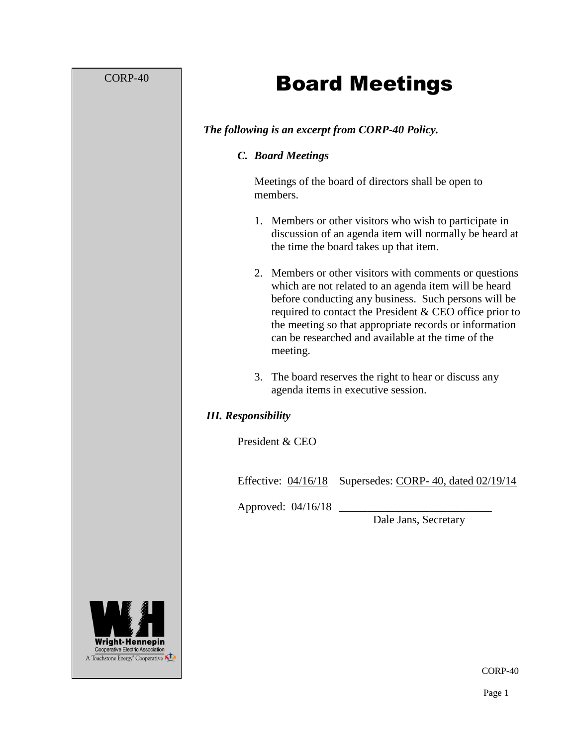# CORP-40

# Board Meetings

# *The following is an excerpt from CORP-40 Policy.*

#### *C. Board Meetings*

Meetings of the board of directors shall be open to members.

- 1. Members or other visitors who wish to participate in discussion of an agenda item will normally be heard at the time the board takes up that item.
- 2. Members or other visitors with comments or questions which are not related to an agenda item will be heard before conducting any business. Such persons will be required to contact the President & CEO office prior to the meeting so that appropriate records or information can be researched and available at the time of the meeting.
- 3. The board reserves the right to hear or discuss any agenda items in executive session.

# *III. Responsibility*

President & CEO

Effective: 04/16/18 Supersedes: CORP- 40, dated 02/19/14

Approved: 04/16/18

Dale Jans, Secretary